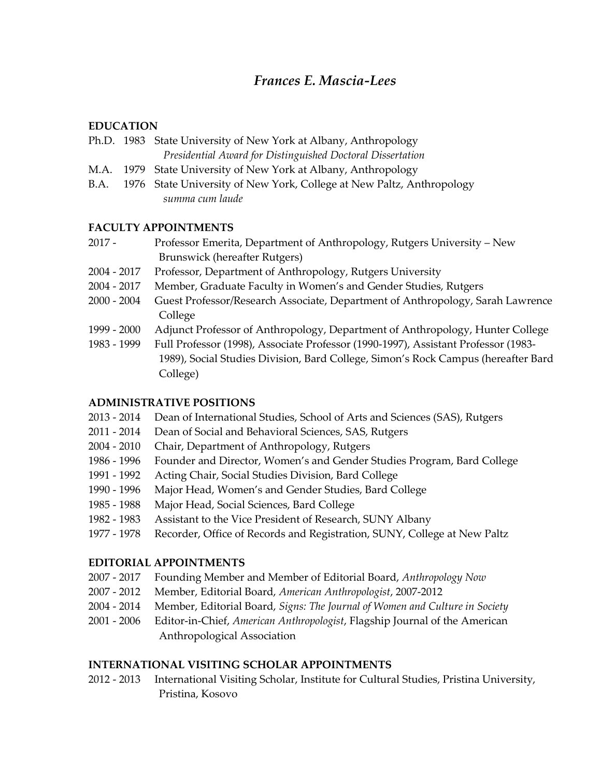# *Frances E. Mascia-Lees*

### **EDUCATION**

|  | Ph.D. 1983 State University of New York at Albany, Anthropology |
|--|-----------------------------------------------------------------|
|  | Presidential Award for Distinguished Doctoral Dissertation      |

- M.A. 1979 State University of New York at Albany, Anthropology
- B.A. 1976 State University of New York, College at New Paltz, Anthropology *summa cum laude*

### **FACULTY APPOINTMENTS**

- 2017 Professor Emerita, Department of Anthropology, Rutgers University New Brunswick (hereafter Rutgers)
- 2004 2017 Professor, Department of Anthropology, Rutgers University
- 2004 2017 Member, Graduate Faculty in Women's and Gender Studies, Rutgers
- 2000 2004 Guest Professor/Research Associate, Department of Anthropology, Sarah Lawrence College
- 1999 2000 Adjunct Professor of Anthropology, Department of Anthropology, Hunter College
- 1983 1999 Full Professor (1998), Associate Professor (1990-1997), Assistant Professor (1983- 1989), Social Studies Division, Bard College, Simon's Rock Campus (hereafter Bard College)

## **ADMINISTRATIVE POSITIONS**

- 2013 2014 Dean of International Studies, School of Arts and Sciences (SAS), Rutgers
- 2011 2014 Dean of Social and Behavioral Sciences, SAS, Rutgers
- 2004 2010 Chair, Department of Anthropology, Rutgers
- 1986 1996 Founder and Director, Women's and Gender Studies Program, Bard College
- 1991 1992 Acting Chair, Social Studies Division, Bard College
- 1990 1996 Major Head, Women's and Gender Studies, Bard College
- 1985 1988 Major Head, Social Sciences, Bard College
- 1982 1983 Assistant to the Vice President of Research, SUNY Albany
- 1977 1978 Recorder, Office of Records and Registration, SUNY, College at New Paltz

## **EDITORIAL APPOINTMENTS**

- 2007 2017 Founding Member and Member of Editorial Board, *Anthropology Now*
- 2007 2012 Member, Editorial Board, *American Anthropologist*, 2007-2012
- 2004 2014 Member, Editorial Board, *Signs: The Journal of Women and Culture in Society*
- 2001 2006 Editor-in-Chief, *American Anthropologist*, Flagship Journal of the American Anthropological Association

## **INTERNATIONAL VISITING SCHOLAR APPOINTMENTS**

2012 - 2013 International Visiting Scholar, Institute for Cultural Studies, Pristina University, Pristina, Kosovo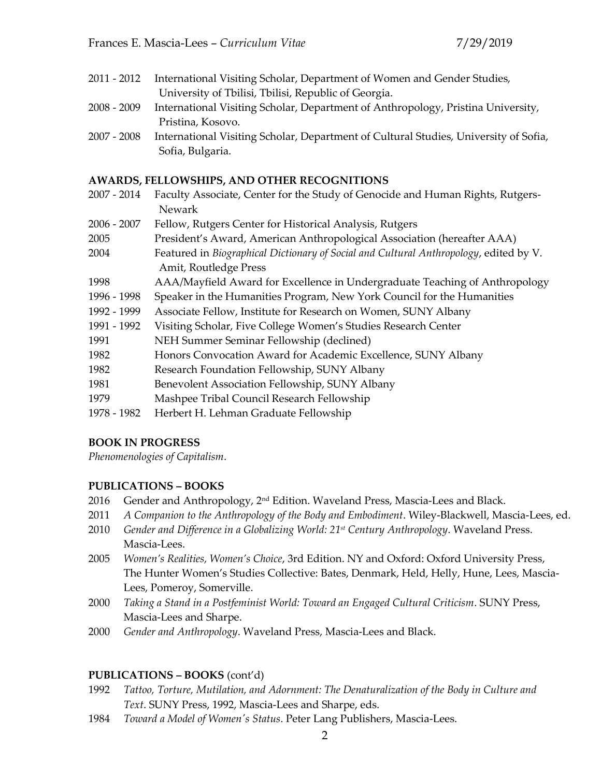- 2011 2012 International Visiting Scholar, Department of Women and Gender Studies, University of Tbilisi, Tbilisi, Republic of Georgia.
- 2008 2009 International Visiting Scholar, Department of Anthropology, Pristina University, Pristina, Kosovo.
- 2007 2008 International Visiting Scholar, Department of Cultural Studies, University of Sofia, Sofia, Bulgaria.

### **AWARDS, FELLOWSHIPS, AND OTHER RECOGNITIONS**

- 2007 2014 Faculty Associate, Center for the Study of Genocide and Human Rights, Rutgers-Newark
- 2006 2007 Fellow, Rutgers Center for Historical Analysis, Rutgers
- 2005 President's Award, American Anthropological Association (hereafter AAA)
- 2004 Featured in *Biographical Dictionary of Social and Cultural Anthropology*, edited by V. Amit, Routledge Press
- 1998 AAA/Mayfield Award for Excellence in Undergraduate Teaching of Anthropology
- 1996 1998 Speaker in the Humanities Program, New York Council for the Humanities
- 1992 1999 Associate Fellow, Institute for Research on Women, SUNY Albany
- 1991 1992 Visiting Scholar, Five College Women's Studies Research Center
- 1991 NEH Summer Seminar Fellowship (declined)
- 1982 Honors Convocation Award for Academic Excellence, SUNY Albany
- 1982 Research Foundation Fellowship, SUNY Albany
- 1981 Benevolent Association Fellowship, SUNY Albany
- 1979 Mashpee Tribal Council Research Fellowship
- 1978 1982 Herbert H. Lehman Graduate Fellowship

## **BOOK IN PROGRESS**

*Phenomenologies of Capitalism*.

## **PUBLICATIONS – BOOKS**

- 2016 Gender and Anthropology,  $2<sup>nd</sup>$  Edition. Waveland Press, Mascia-Lees and Black.
- 2011 *A Companion to the Anthropology of the Body and Embodiment*. Wiley-Blackwell, Mascia-Lees, ed.
- 2010 *Gender and Difference in a Globalizing World: 21st Century Anthropology*. Waveland Press. Mascia-Lees.
- 2005 *Women's Realities, Women's Choice*, 3rd Edition. NY and Oxford: Oxford University Press, The Hunter Women's Studies Collective: Bates, Denmark, Held, Helly, Hune, Lees, Mascia-Lees, Pomeroy, Somerville.
- 2000 *Taking a Stand in a Postfeminist World: Toward an Engaged Cultural Criticism*. SUNY Press, Mascia-Lees and Sharpe.
- 2000 *Gender and Anthropology*. Waveland Press, Mascia-Lees and Black.

## **PUBLICATIONS – BOOKS** (cont'd)

- 1992 *Tattoo, Torture, Mutilation, and Adornment: The Denaturalization of the Body in Culture and Text*. SUNY Press, 1992, Mascia-Lees and Sharpe, eds.
- 1984 *Toward a Model of Women's Status*. Peter Lang Publishers, Mascia-Lees.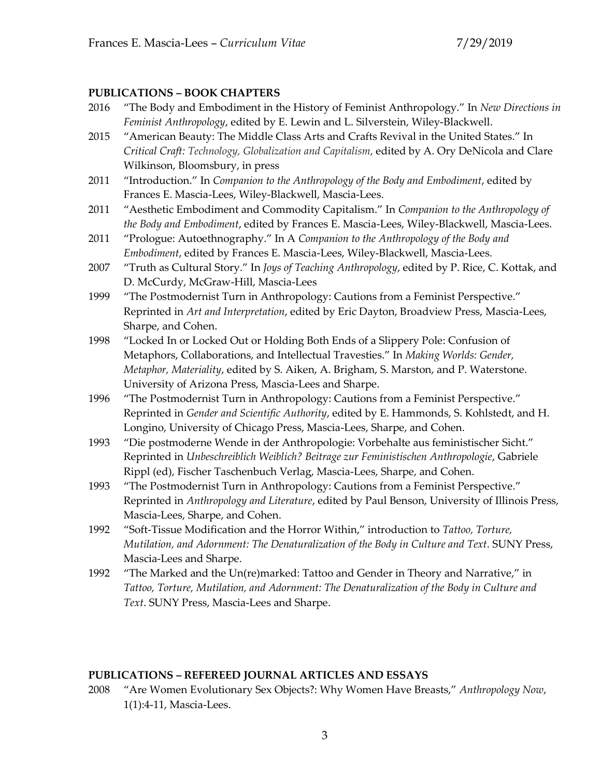### **PUBLICATIONS – BOOK CHAPTERS**

- 2016 "The Body and Embodiment in the History of Feminist Anthropology." In *New Directions in Feminist Anthropology*, edited by E. Lewin and L. Silverstein, Wiley-Blackwell.
- 2015 "American Beauty: The Middle Class Arts and Crafts Revival in the United States." In *Critical Craft: Technology, Globalization and Capitalism,* edited by A. Ory DeNicola and Clare Wilkinson, Bloomsbury, in press
- 2011 "Introduction." In *Companion to the Anthropology of the Body and Embodiment*, edited by Frances E. Mascia-Lees, Wiley-Blackwell, Mascia-Lees.
- 2011 "Aesthetic Embodiment and Commodity Capitalism." In *Companion to the Anthropology of the Body and Embodiment*, edited by Frances E. Mascia-Lees, Wiley-Blackwell, Mascia-Lees.
- 2011 "Prologue: Autoethnography." In A *Companion to the Anthropology of the Body and Embodiment*, edited by Frances E. Mascia-Lees, Wiley-Blackwell, Mascia-Lees.
- 2007 "Truth as Cultural Story." In *Joys of Teaching Anthropology*, edited by P. Rice, C. Kottak, and D. McCurdy, McGraw-Hill, Mascia-Lees
- 1999 "The Postmodernist Turn in Anthropology: Cautions from a Feminist Perspective." Reprinted in *Art and Interpretation*, edited by Eric Dayton, Broadview Press, Mascia-Lees, Sharpe, and Cohen.
- 1998 "Locked In or Locked Out or Holding Both Ends of a Slippery Pole: Confusion of Metaphors, Collaborations, and Intellectual Travesties." In *Making Worlds: Gender, Metaphor, Materiality*, edited by S. Aiken, A. Brigham, S. Marston, and P. Waterstone. University of Arizona Press, Mascia-Lees and Sharpe.
- 1996 "The Postmodernist Turn in Anthropology: Cautions from a Feminist Perspective." Reprinted in *Gender and Scientific Authority*, edited by E. Hammonds, S. Kohlstedt, and H. Longino, University of Chicago Press, Mascia-Lees, Sharpe, and Cohen.
- 1993 "Die postmoderne Wende in der Anthropologie: Vorbehalte aus feministischer Sicht." Reprinted in *Unbeschreiblich Weiblich? Beitrage zur Feministischen Anthropologie*, Gabriele Rippl (ed), Fischer Taschenbuch Verlag, Mascia-Lees, Sharpe, and Cohen.
- 1993 "The Postmodernist Turn in Anthropology: Cautions from a Feminist Perspective." Reprinted in *Anthropology and Literature*, edited by Paul Benson, University of Illinois Press, Mascia-Lees, Sharpe, and Cohen.
- 1992 "Soft-Tissue Modification and the Horror Within," introduction to *Tattoo, Torture, Mutilation, and Adornment: The Denaturalization of the Body in Culture and Text*. SUNY Press, Mascia-Lees and Sharpe.
- 1992 "The Marked and the Un(re)marked: Tattoo and Gender in Theory and Narrative," in *Tattoo, Torture, Mutilation, and Adornment: The Denaturalization of the Body in Culture and Text*. SUNY Press, Mascia-Lees and Sharpe.

### **PUBLICATIONS – REFEREED JOURNAL ARTICLES AND ESSAYS**

2008 "Are Women Evolutionary Sex Objects?: Why Women Have Breasts," *Anthropology Now*, 1(1):4-11, Mascia-Lees.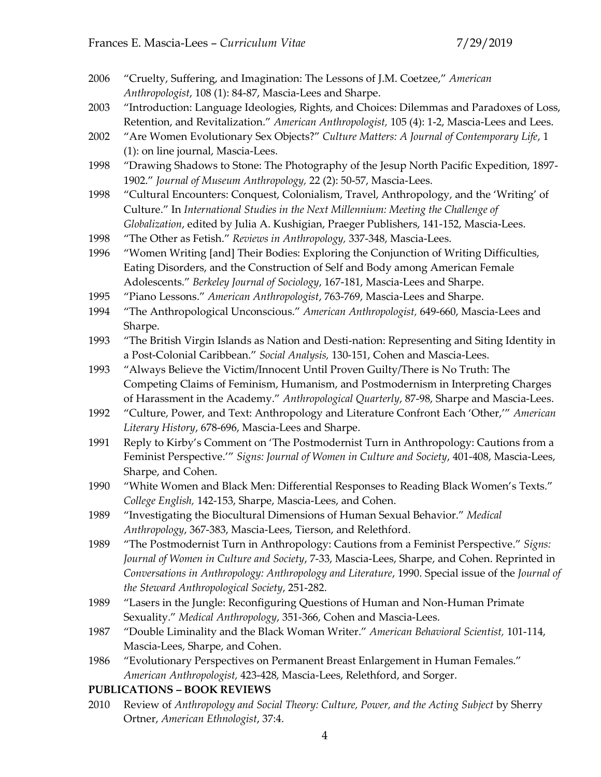- 2006 "Cruelty, Suffering, and Imagination: The Lessons of J.M. Coetzee," *American Anthropologist*, 108 (1): 84-87, Mascia-Lees and Sharpe.
- 2003 "Introduction: Language Ideologies, Rights, and Choices: Dilemmas and Paradoxes of Loss, Retention, and Revitalization." *American Anthropologist,* 105 (4): 1-2, Mascia-Lees and Lees.
- 2002 "Are Women Evolutionary Sex Objects?" *Culture Matters: A Journal of Contemporary Life*, 1 (1): on line journal, Mascia-Lees.
- 1998 "Drawing Shadows to Stone: The Photography of the Jesup North Pacific Expedition, 1897- 1902." *Journal of Museum Anthropology,* 22 (2): 50-57, Mascia-Lees.
- 1998 "Cultural Encounters: Conquest, Colonialism, Travel, Anthropology, and the 'Writing' of Culture." In *International Studies in the Next Millennium: Meeting the Challenge of Globalization*, edited by Julia A. Kushigian, Praeger Publishers, 141-152, Mascia-Lees.
- 1998 "The Other as Fetish." *Reviews in Anthropology,* 337-348, Mascia-Lees.
- 1996 "Women Writing [and] Their Bodies: Exploring the Conjunction of Writing Difficulties, Eating Disorders, and the Construction of Self and Body among American Female Adolescents." *Berkeley Journal of Sociology*, 167-181, Mascia-Lees and Sharpe.
- 1995 "Piano Lessons." *American Anthropologist*, 763-769, Mascia-Lees and Sharpe.
- 1994 "The Anthropological Unconscious." *American Anthropologist,* 649-660, Mascia-Lees and Sharpe.
- 1993 "The British Virgin Islands as Nation and Desti-nation: Representing and Siting Identity in a Post-Colonial Caribbean." *Social Analysis,* 130-151, Cohen and Mascia-Lees.
- 1993 "Always Believe the Victim/Innocent Until Proven Guilty/There is No Truth: The Competing Claims of Feminism, Humanism, and Postmodernism in Interpreting Charges of Harassment in the Academy." *Anthropological Quarterly*, 87-98, Sharpe and Mascia-Lees.
- 1992 "Culture, Power, and Text: Anthropology and Literature Confront Each 'Other,'" *American Literary History*, 678-696, Mascia-Lees and Sharpe.
- 1991 Reply to Kirby's Comment on 'The Postmodernist Turn in Anthropology: Cautions from a Feminist Perspective.'" *Signs: Journal of Women in Culture and Society*, 401-408, Mascia-Lees, Sharpe, and Cohen.
- 1990 "White Women and Black Men: Differential Responses to Reading Black Women's Texts." *College English,* 142-153, Sharpe, Mascia-Lees, and Cohen.
- 1989 "Investigating the Biocultural Dimensions of Human Sexual Behavior." *Medical Anthropology*, 367-383, Mascia-Lees, Tierson, and Relethford.
- 1989 "The Postmodernist Turn in Anthropology: Cautions from a Feminist Perspective." *Signs: Journal of Women in Culture and Society*, 7-33, Mascia-Lees, Sharpe, and Cohen. Reprinted in *Conversations in Anthropology: Anthropology and Literature*, 1990. Special issue of the *Journal of the Steward Anthropological Society*, 251-282.
- 1989 "Lasers in the Jungle: Reconfiguring Questions of Human and Non-Human Primate Sexuality." *Medical Anthropology*, 351-366, Cohen and Mascia-Lees.
- 1987 "Double Liminality and the Black Woman Writer." *American Behavioral Scientist,* 101-114, Mascia-Lees, Sharpe, and Cohen.
- 1986 "Evolutionary Perspectives on Permanent Breast Enlargement in Human Females." *American Anthropologist,* 423-428, Mascia-Lees, Relethford, and Sorger.

### **PUBLICATIONS – BOOK REVIEWS**

2010 Review of *Anthropology and Social Theory: Culture, Power, and the Acting Subject* by Sherry Ortner, *American Ethnologist*, 37:4.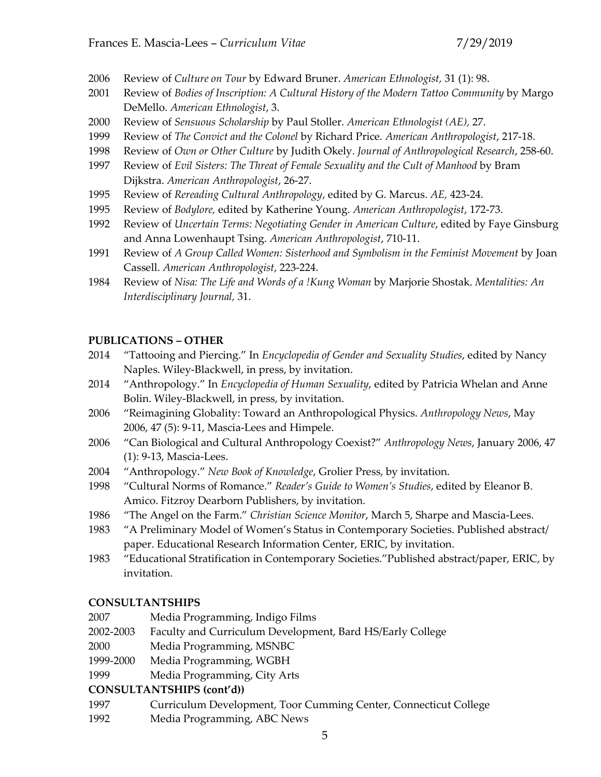- 2006 Review of *Culture on Tour* by Edward Bruner. *American Ethnologist,* 31 (1): 98.
- 2001 Review of *Bodies of Inscription: A Cultural History of the Modern Tattoo Community* by Margo DeMello. *American Ethnologist*, 3.
- 2000 Review of *Sensuous Scholarship* by Paul Stoller. *American Ethnologist (AE),* 27.
- 1999 Review of *The Convict and the Colonel* by Richard Price. *American Anthropologist*, 217-18.
- 1998 Review of *Own or Other Culture* by Judith Okely. *Journal of Anthropological Research*, 258-60.
- 1997 Review of *Evil Sisters: The Threat of Female Sexuality and the Cult of Manhood* by Bram Dijkstra. *American Anthropologist*, 26-27.
- 1995 Review of *Rereading Cultural Anthropology*, edited by G. Marcus. *AE,* 423-24.
- 1995 Review of *Bodylore,* edited by Katherine Young. *American Anthropologist*, 172-73.
- 1992 Review of *Uncertain Terms: Negotiating Gender in American Culture*, edited by Faye Ginsburg and Anna Lowenhaupt Tsing. *American Anthropologist*, 710-11.
- 1991 Review of *A Group Called Women: Sisterhood and Symbolism in the Feminist Movement* by Joan Cassell. *American Anthropologist*, 223-224.
- 1984 Review of *Nisa: The Life and Words of a !Kung Woman* by Marjorie Shostak. *Mentalities: An Interdisciplinary Journal,* 31.

# **PUBLICATIONS – OTHER**

- 2014 "Tattooing and Piercing." In *Encyclopedia of Gender and Sexuality Studies*, edited by Nancy Naples. Wiley-Blackwell, in press, by invitation.
- 2014 "Anthropology." In *Encyclopedia of Human Sexuality*, edited by Patricia Whelan and Anne Bolin. Wiley-Blackwell, in press, by invitation.
- 2006 "Reimagining Globality: Toward an Anthropological Physics. *Anthropology News*, May 2006, 47 (5): 9-11, Mascia-Lees and Himpele.
- 2006 "Can Biological and Cultural Anthropology Coexist?" *Anthropology News*, January 2006, 47 (1): 9-13, Mascia-Lees.
- 2004 "Anthropology." *New Book of Knowledge*, Grolier Press, by invitation.
- 1998 "Cultural Norms of Romance." *Reader's Guide to Women's Studies*, edited by Eleanor B. Amico. Fitzroy Dearborn Publishers, by invitation.
- 1986 "The Angel on the Farm." *Christian Science Monitor*, March 5, Sharpe and Mascia-Lees.
- 1983 "A Preliminary Model of Women's Status in Contemporary Societies. Published abstract/ paper. Educational Research Information Center, ERIC, by invitation.
- 1983 "Educational Stratification in Contemporary Societies."Published abstract/paper, ERIC, by invitation.

# **CONSULTANTSHIPS**

- 2007 Media Programming, Indigo Films
- 2002-2003 Faculty and Curriculum Development, Bard HS/Early College
- 2000 Media Programming, MSNBC
- 1999-2000 Media Programming, WGBH
- 1999 Media Programming, City Arts

# **CONSULTANTSHIPS (cont'd))**

- 1997 Curriculum Development, Toor Cumming Center, Connecticut College
- 1992 Media Programming, ABC News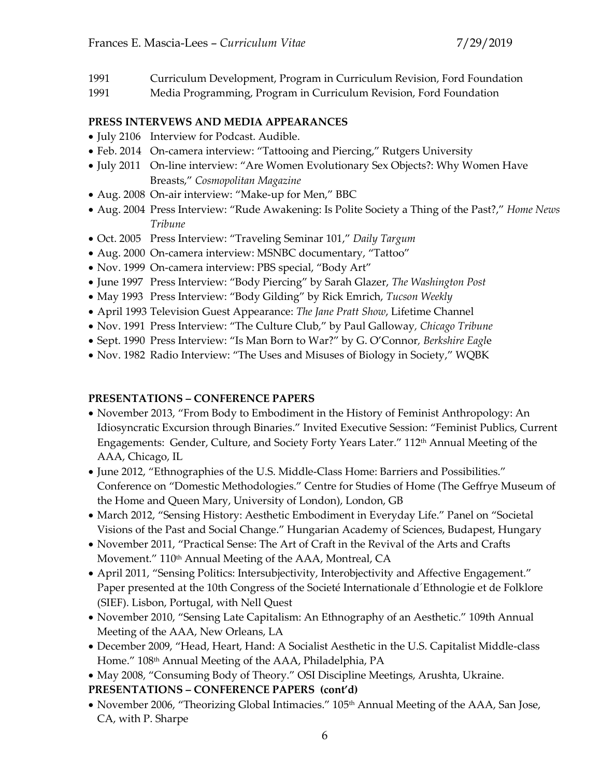- 1991 Curriculum Development, Program in Curriculum Revision, Ford Foundation
- 1991 Media Programming, Program in Curriculum Revision, Ford Foundation

### **PRESS INTERVEWS AND MEDIA APPEARANCES**

- July 2106 Interview for Podcast. Audible.
- Feb. 2014 On-camera interview: "Tattooing and Piercing," Rutgers University
- July 2011 On-line interview: "Are Women Evolutionary Sex Objects?: Why Women Have Breasts," *Cosmopolitan Magazine*
- Aug. 2008 On-air interview: "Make-up for Men," BBC
- Aug. 2004 Press Interview: "Rude Awakening: Is Polite Society a Thing of the Past?," *Home News Tribune*
- Oct. 2005 Press Interview: "Traveling Seminar 101," *Daily Targum*
- Aug. 2000 On-camera interview: MSNBC documentary, "Tattoo"
- Nov. 1999 On-camera interview: PBS special, "Body Art"
- June 1997 Press Interview: "Body Piercing" by Sarah Glazer, *The Washington Post*
- May 1993 Press Interview: "Body Gilding" by Rick Emrich, *Tucson Weekly*
- April 1993 Television Guest Appearance: *The Jane Pratt Show*, Lifetime Channel
- Nov. 1991 Press Interview: "The Culture Club," by Paul Galloway*, Chicago Tribune*
- Sept. 1990 Press Interview: "Is Man Born to War?" by G. O'Connor*, Berkshire Eagl*e
- Nov. 1982 Radio Interview: "The Uses and Misuses of Biology in Society," WQBK

## **PRESENTATIONS – CONFERENCE PAPERS**

- November 2013, "From Body to Embodiment in the History of Feminist Anthropology: An Idiosyncratic Excursion through Binaries." Invited Executive Session: "Feminist Publics, Current Engagements: Gender, Culture, and Society Forty Years Later." 112<sup>th</sup> Annual Meeting of the AAA, Chicago, IL
- June 2012, "Ethnographies of the U.S. Middle-Class Home: Barriers and Possibilities." Conference on "Domestic Methodologies." Centre for Studies of Home (The Geffrye Museum of the Home and Queen Mary, University of London), London, GB
- March 2012, "Sensing History: Aesthetic Embodiment in Everyday Life." Panel on "Societal Visions of the Past and Social Change." Hungarian Academy of Sciences, Budapest, Hungary
- November 2011, "Practical Sense: The Art of Craft in the Revival of the Arts and Crafts Movement." 110<sup>th</sup> Annual Meeting of the AAA, Montreal, CA
- April 2011, "Sensing Politics: Intersubjectivity, Interobjectivity and Affective Engagement." Paper presented at the 10th Congress of the Societé Internationale d´Ethnologie et de Folklore (SIEF). Lisbon, Portugal, with Nell Quest
- November 2010, "Sensing Late Capitalism: An Ethnography of an Aesthetic." 109th Annual Meeting of the AAA, New Orleans, LA
- December 2009, "Head, Heart, Hand: A Socialist Aesthetic in the U.S. Capitalist Middle-class Home." 108th Annual Meeting of the AAA, Philadelphia, PA
- May 2008, "Consuming Body of Theory." OSI Discipline Meetings, Arushta, Ukraine.

## **PRESENTATIONS – CONFERENCE PAPERS (cont'd)**

• November 2006, "Theorizing Global Intimacies." 105<sup>th</sup> Annual Meeting of the AAA, San Jose, CA, with P. Sharpe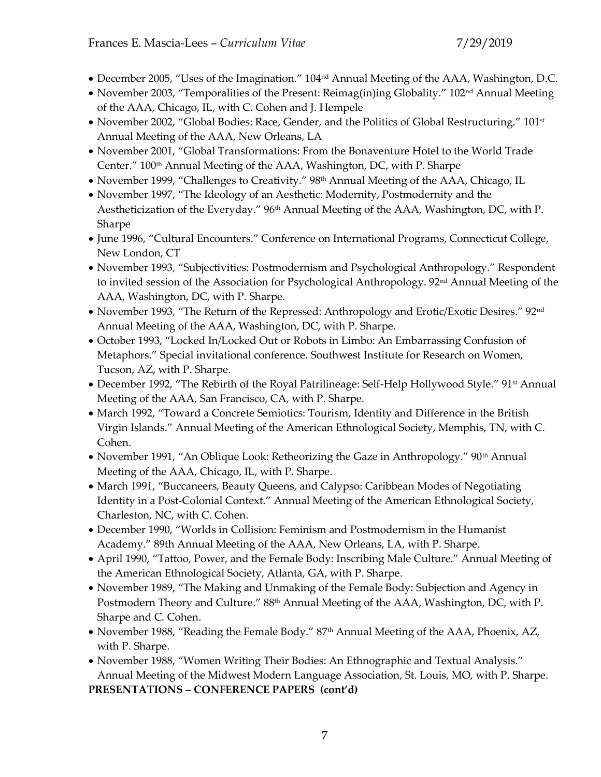- December 2005, "Uses of the Imagination." 104nd Annual Meeting of the AAA, Washington, D.C.
- November 2003, "Temporalities of the Present: Reimag(in)ing Globality." 102<sup>nd</sup> Annual Meeting of the AAA, Chicago, IL, with C. Cohen and J. Hempele
- November 2002, "Global Bodies: Race, Gender, and the Politics of Global Restructuring." 101<sup>st</sup> Annual Meeting of the AAA, New Orleans, LA
- November 2001, "Global Transformations: From the Bonaventure Hotel to the World Trade Center." 100<sup>th</sup> Annual Meeting of the AAA, Washington, DC, with P. Sharpe
- November 1999, "Challenges to Creativity." 98<sup>th</sup> Annual Meeting of the AAA, Chicago, IL
- November 1997, "The Ideology of an Aesthetic: Modernity, Postmodernity and the Aestheticization of the Everyday." 96<sup>th</sup> Annual Meeting of the AAA, Washington, DC, with P. Sharpe
- June 1996, "Cultural Encounters." Conference on International Programs, Connecticut College, New London, CT
- November 1993, "Subjectivities: Postmodernism and Psychological Anthropology." Respondent to invited session of the Association for Psychological Anthropology. 92<sup>nd</sup> Annual Meeting of the AAA, Washington, DC, with P. Sharpe.
- November 1993, "The Return of the Repressed: Anthropology and Erotic/Exotic Desires." 92<sup>nd</sup> Annual Meeting of the AAA, Washington, DC, with P. Sharpe.
- October 1993, "Locked In/Locked Out or Robots in Limbo: An Embarrassing Confusion of Metaphors." Special invitational conference. Southwest Institute for Research on Women, Tucson, AZ, with P. Sharpe.
- December 1992, "The Rebirth of the Royal Patrilineage: Self-Help Hollywood Style." 91<sup>st</sup> Annual Meeting of the AAA, San Francisco, CA, with P. Sharpe.
- March 1992, "Toward a Concrete Semiotics: Tourism, Identity and Difference in the British Virgin Islands." Annual Meeting of the American Ethnological Society, Memphis, TN, with C. Cohen.
- November 1991, "An Oblique Look: Retheorizing the Gaze in Anthropology." 90<sup>th</sup> Annual Meeting of the AAA, Chicago, IL, with P. Sharpe.
- March 1991, "Buccaneers, Beauty Queens, and Calypso: Caribbean Modes of Negotiating Identity in a Post-Colonial Context." Annual Meeting of the American Ethnological Society, Charleston, NC, with C. Cohen.
- December 1990, "Worlds in Collision: Feminism and Postmodernism in the Humanist Academy." 89th Annual Meeting of the AAA, New Orleans, LA, with P. Sharpe.
- April 1990, "Tattoo, Power, and the Female Body: Inscribing Male Culture." Annual Meeting of the American Ethnological Society, Atlanta, GA, with P. Sharpe.
- November 1989, "The Making and Unmaking of the Female Body: Subjection and Agency in Postmodern Theory and Culture." 88<sup>th</sup> Annual Meeting of the AAA, Washington, DC, with P. Sharpe and C. Cohen.
- November 1988, "Reading the Female Body." 87<sup>th</sup> Annual Meeting of the AAA, Phoenix, AZ, with P. Sharpe.
- November 1988, "Women Writing Their Bodies: An Ethnographic and Textual Analysis." Annual Meeting of the Midwest Modern Language Association, St. Louis, MO, with P. Sharpe. **PRESENTATIONS – CONFERENCE PAPERS (cont'd)**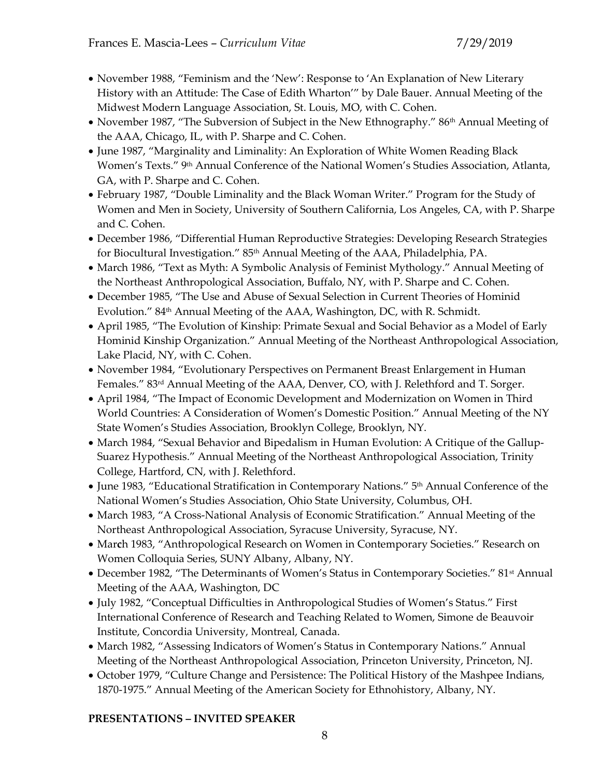- November 1988, "Feminism and the 'New': Response to 'An Explanation of New Literary History with an Attitude: The Case of Edith Wharton'" by Dale Bauer. Annual Meeting of the Midwest Modern Language Association, St. Louis, MO, with C. Cohen.
- November 1987, "The Subversion of Subject in the New Ethnography." 86<sup>th</sup> Annual Meeting of the AAA, Chicago, IL, with P. Sharpe and C. Cohen.
- June 1987, "Marginality and Liminality: An Exploration of White Women Reading Black Women's Texts." 9<sup>th</sup> Annual Conference of the National Women's Studies Association, Atlanta, GA, with P. Sharpe and C. Cohen.
- February 1987, "Double Liminality and the Black Woman Writer." Program for the Study of Women and Men in Society, University of Southern California, Los Angeles, CA, with P. Sharpe and C. Cohen.
- December 1986, "Differential Human Reproductive Strategies: Developing Research Strategies for Biocultural Investigation." 85<sup>th</sup> Annual Meeting of the AAA, Philadelphia, PA.
- March 1986, "Text as Myth: A Symbolic Analysis of Feminist Mythology." Annual Meeting of the Northeast Anthropological Association, Buffalo, NY, with P. Sharpe and C. Cohen.
- December 1985, "The Use and Abuse of Sexual Selection in Current Theories of Hominid Evolution." 84<sup>th</sup> Annual Meeting of the AAA, Washington, DC, with R. Schmidt.
- April 1985, "The Evolution of Kinship: Primate Sexual and Social Behavior as a Model of Early Hominid Kinship Organization." Annual Meeting of the Northeast Anthropological Association, Lake Placid, NY, with C. Cohen.
- November 1984, "Evolutionary Perspectives on Permanent Breast Enlargement in Human Females." 83rd Annual Meeting of the AAA, Denver, CO, with J. Relethford and T. Sorger.
- April 1984, "The Impact of Economic Development and Modernization on Women in Third World Countries: A Consideration of Women's Domestic Position." Annual Meeting of the NY State Women's Studies Association, Brooklyn College, Brooklyn, NY.
- March 1984, "Sexual Behavior and Bipedalism in Human Evolution: A Critique of the Gallup-Suarez Hypothesis." Annual Meeting of the Northeast Anthropological Association, Trinity College, Hartford, CN, with J. Relethford.
- June 1983, "Educational Stratification in Contemporary Nations." 5<sup>th</sup> Annual Conference of the National Women's Studies Association, Ohio State University, Columbus, OH.
- March 1983, "A Cross-National Analysis of Economic Stratification." Annual Meeting of the Northeast Anthropological Association, Syracuse University, Syracuse, NY.
- Mar**c**h 1983, "Anthropological Research on Women in Contemporary Societies." Research on Women Colloquia Series, SUNY Albany, Albany, NY.
- December 1982, "The Determinants of Women's Status in Contemporary Societies." 81<sup>st</sup> Annual Meeting of the AAA, Washington, DC
- July 1982, "Conceptual Difficulties in Anthropological Studies of Women's Status." First International Conference of Research and Teaching Related to Women, Simone de Beauvoir Institute, Concordia University, Montreal, Canada.
- March 1982, "Assessing Indicators of Women's Status in Contemporary Nations." Annual Meeting of the Northeast Anthropological Association, Princeton University, Princeton, NJ.
- October 1979, "Culture Change and Persistence: The Political History of the Mashpee Indians, 1870-1975." Annual Meeting of the American Society for Ethnohistory, Albany, NY.

## **PRESENTATIONS – INVITED SPEAKER**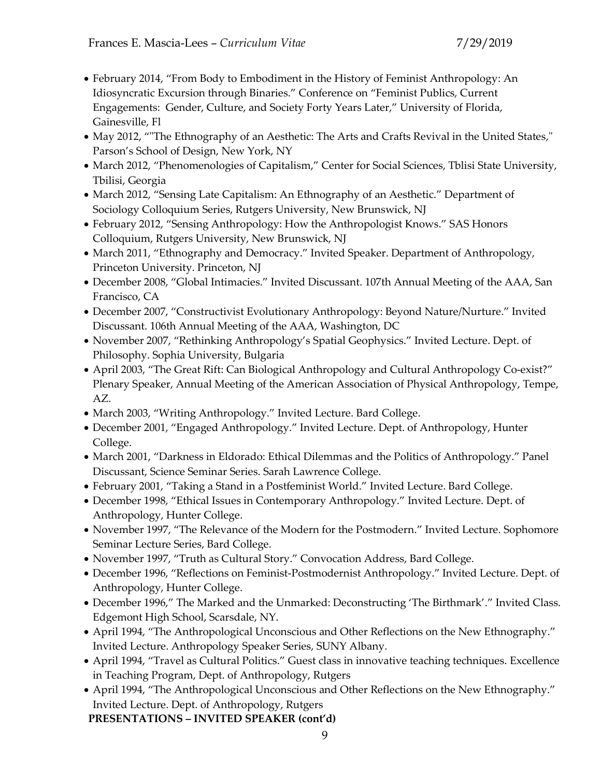- February 2014, "From Body to Embodiment in the History of Feminist Anthropology: An Idiosyncratic Excursion through Binaries." Conference on "Feminist Publics, Current Engagements: Gender, Culture, and Society Forty Years Later," University of Florida, Gainesville, Fl
- May 2012, ""The Ethnography of an Aesthetic: The Arts and Crafts Revival in the United States," Parson's School of Design, New York, NY
- March 2012, "Phenomenologies of Capitalism," Center for Social Sciences, Tblisi State University, Tbilisi, Georgia
- March 2012, "Sensing Late Capitalism: An Ethnography of an Aesthetic." Department of Sociology Colloquium Series, Rutgers University, New Brunswick, NJ
- February 2012, "Sensing Anthropology: How the Anthropologist Knows." SAS Honors Colloquium, Rutgers University, New Brunswick, NJ
- March 2011, "Ethnography and Democracy." Invited Speaker. Department of Anthropology, Princeton University. Princeton, NJ
- December 2008, "Global Intimacies." Invited Discussant. 107th Annual Meeting of the AAA, San Francisco, CA
- December 2007, "Constructivist Evolutionary Anthropology: Beyond Nature/Nurture." Invited Discussant. 106th Annual Meeting of the AAA, Washington, DC
- November 2007, "Rethinking Anthropology's Spatial Geophysics." Invited Lecture. Dept. of Philosophy. Sophia University, Bulgaria
- April 2003, "The Great Rift: Can Biological Anthropology and Cultural Anthropology Co-exist?" Plenary Speaker, Annual Meeting of the American Association of Physical Anthropology, Tempe, AZ.
- March 2003, "Writing Anthropology." Invited Lecture. Bard College.
- December 2001, "Engaged Anthropology." Invited Lecture. Dept. of Anthropology, Hunter College.
- March 2001, "Darkness in Eldorado: Ethical Dilemmas and the Politics of Anthropology." Panel Discussant, Science Seminar Series. Sarah Lawrence College.
- February 2001, "Taking a Stand in a Postfeminist World." Invited Lecture. Bard College.
- December 1998, "Ethical Issues in Contemporary Anthropology." Invited Lecture. Dept. of Anthropology, Hunter College.
- November 1997, "The Relevance of the Modern for the Postmodern." Invited Lecture. Sophomore Seminar Lecture Series, Bard College.
- November 1997, "Truth as Cultural Story." Convocation Address, Bard College.
- December 1996, "Reflections on Feminist-Postmodernist Anthropology." Invited Lecture. Dept. of Anthropology, Hunter College.
- December 1996," The Marked and the Unmarked: Deconstructing 'The Birthmark'." Invited Class. Edgemont High School, Scarsdale, NY.
- April 1994, "The Anthropological Unconscious and Other Reflections on the New Ethnography." Invited Lecture. Anthropology Speaker Series, SUNY Albany.
- April 1994, "Travel as Cultural Politics." Guest class in innovative teaching techniques. Excellence in Teaching Program, Dept. of Anthropology, Rutgers
- April 1994, "The Anthropological Unconscious and Other Reflections on the New Ethnography." Invited Lecture. Dept. of Anthropology, Rutgers

**PRESENTATIONS – INVITED SPEAKER (cont'd)**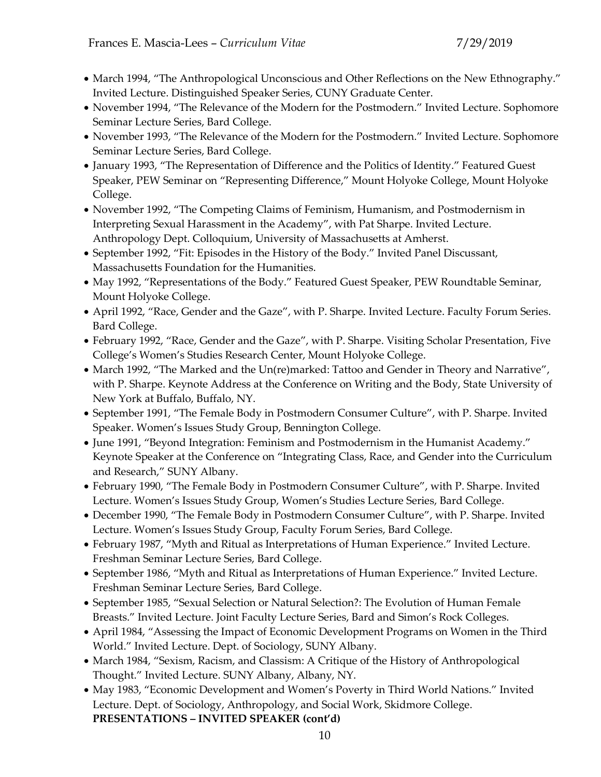- March 1994, "The Anthropological Unconscious and Other Reflections on the New Ethnography." Invited Lecture. Distinguished Speaker Series, CUNY Graduate Center.
- November 1994, "The Relevance of the Modern for the Postmodern." Invited Lecture. Sophomore Seminar Lecture Series, Bard College.
- November 1993, "The Relevance of the Modern for the Postmodern." Invited Lecture. Sophomore Seminar Lecture Series, Bard College.
- January 1993, "The Representation of Difference and the Politics of Identity." Featured Guest Speaker, PEW Seminar on "Representing Difference," Mount Holyoke College, Mount Holyoke College.
- November 1992, "The Competing Claims of Feminism, Humanism, and Postmodernism in Interpreting Sexual Harassment in the Academy", with Pat Sharpe. Invited Lecture. Anthropology Dept. Colloquium, University of Massachusetts at Amherst.
- September 1992, "Fit: Episodes in the History of the Body." Invited Panel Discussant, Massachusetts Foundation for the Humanities.
- May 1992, "Representations of the Body." Featured Guest Speaker, PEW Roundtable Seminar, Mount Holyoke College.
- April 1992, "Race, Gender and the Gaze", with P. Sharpe. Invited Lecture. Faculty Forum Series. Bard College.
- February 1992, "Race, Gender and the Gaze", with P. Sharpe. Visiting Scholar Presentation, Five College's Women's Studies Research Center, Mount Holyoke College.
- March 1992, "The Marked and the Un(re)marked: Tattoo and Gender in Theory and Narrative", with P. Sharpe. Keynote Address at the Conference on Writing and the Body, State University of New York at Buffalo, Buffalo, NY.
- September 1991, "The Female Body in Postmodern Consumer Culture", with P. Sharpe. Invited Speaker. Women's Issues Study Group, Bennington College.
- June 1991, "Beyond Integration: Feminism and Postmodernism in the Humanist Academy." Keynote Speaker at the Conference on "Integrating Class, Race, and Gender into the Curriculum and Research," SUNY Albany.
- February 1990, "The Female Body in Postmodern Consumer Culture", with P. Sharpe. Invited Lecture. Women's Issues Study Group, Women's Studies Lecture Series, Bard College.
- December 1990, "The Female Body in Postmodern Consumer Culture", with P. Sharpe. Invited Lecture. Women's Issues Study Group, Faculty Forum Series, Bard College.
- February 1987, "Myth and Ritual as Interpretations of Human Experience." Invited Lecture. Freshman Seminar Lecture Series, Bard College.
- September 1986, "Myth and Ritual as Interpretations of Human Experience." Invited Lecture. Freshman Seminar Lecture Series, Bard College.
- September 1985, "Sexual Selection or Natural Selection?: The Evolution of Human Female Breasts." Invited Lecture. Joint Faculty Lecture Series, Bard and Simon's Rock Colleges.
- April 1984, "Assessing the Impact of Economic Development Programs on Women in the Third World." Invited Lecture. Dept. of Sociology, SUNY Albany.
- March 1984, "Sexism, Racism, and Classism: A Critique of the History of Anthropological Thought." Invited Lecture. SUNY Albany, Albany, NY.
- May 1983, "Economic Development and Women's Poverty in Third World Nations." Invited Lecture. Dept. of Sociology, Anthropology, and Social Work, Skidmore College. **PRESENTATIONS – INVITED SPEAKER (cont'd)**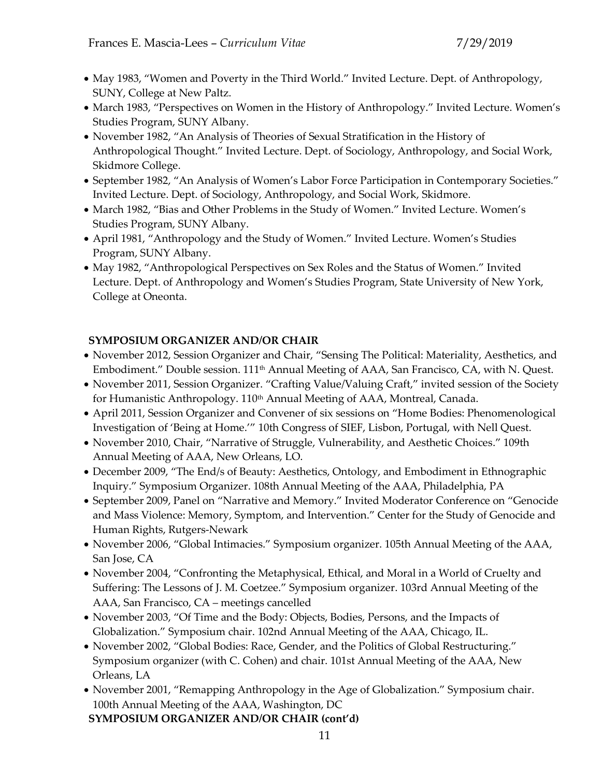- May 1983, "Women and Poverty in the Third World." Invited Lecture. Dept. of Anthropology, SUNY, College at New Paltz.
- March 1983, "Perspectives on Women in the History of Anthropology." Invited Lecture. Women's Studies Program, SUNY Albany.
- November 1982, "An Analysis of Theories of Sexual Stratification in the History of Anthropological Thought." Invited Lecture. Dept. of Sociology, Anthropology, and Social Work, Skidmore College.
- September 1982, "An Analysis of Women's Labor Force Participation in Contemporary Societies." Invited Lecture. Dept. of Sociology, Anthropology, and Social Work, Skidmore.
- March 1982, "Bias and Other Problems in the Study of Women." Invited Lecture. Women's Studies Program, SUNY Albany.
- April 1981, "Anthropology and the Study of Women." Invited Lecture. Women's Studies Program, SUNY Albany.
- May 1982, "Anthropological Perspectives on Sex Roles and the Status of Women." Invited Lecture. Dept. of Anthropology and Women's Studies Program, State University of New York, College at Oneonta.

# **SYMPOSIUM ORGANIZER AND/OR CHAIR**

- November 2012, Session Organizer and Chair, "Sensing The Political: Materiality, Aesthetics, and Embodiment." Double session.  $111<sup>th</sup>$  Annual Meeting of AAA, San Francisco, CA, with N. Quest.
- November 2011, Session Organizer. "Crafting Value/Valuing Craft," invited session of the Society for Humanistic Anthropology. 110<sup>th</sup> Annual Meeting of AAA, Montreal, Canada.
- April 2011, Session Organizer and Convener of six sessions on "Home Bodies: Phenomenological Investigation of 'Being at Home.'" 10th Congress of SIEF, Lisbon, Portugal, with Nell Quest.
- November 2010, Chair, "Narrative of Struggle, Vulnerability, and Aesthetic Choices." 109th Annual Meeting of AAA, New Orleans, LO.
- December 2009, "The End/s of Beauty: Aesthetics, Ontology, and Embodiment in Ethnographic Inquiry." Symposium Organizer. 108th Annual Meeting of the AAA, Philadelphia, PA
- September 2009, Panel on "Narrative and Memory." Invited Moderator Conference on "Genocide and Mass Violence: Memory, Symptom, and Intervention." Center for the Study of Genocide and Human Rights, Rutgers-Newark
- November 2006, "Global Intimacies." Symposium organizer. 105th Annual Meeting of the AAA, San Jose, CA
- November 2004, "Confronting the Metaphysical, Ethical, and Moral in a World of Cruelty and Suffering: The Lessons of J. M. Coetzee." Symposium organizer. 103rd Annual Meeting of the AAA, San Francisco, CA – meetings cancelled
- November 2003, "Of Time and the Body: Objects, Bodies, Persons, and the Impacts of Globalization." Symposium chair. 102nd Annual Meeting of the AAA, Chicago, IL.
- November 2002, "Global Bodies: Race, Gender, and the Politics of Global Restructuring." Symposium organizer (with C. Cohen) and chair. 101st Annual Meeting of the AAA, New Orleans, LA
- November 2001, "Remapping Anthropology in the Age of Globalization." Symposium chair. 100th Annual Meeting of the AAA, Washington, DC

**SYMPOSIUM ORGANIZER AND/OR CHAIR (cont'd)**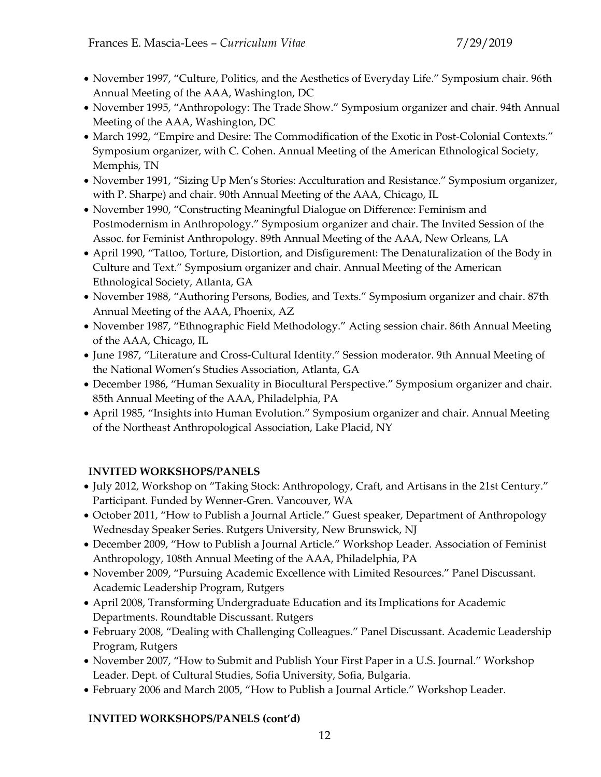- November 1997, "Culture, Politics, and the Aesthetics of Everyday Life." Symposium chair. 96th Annual Meeting of the AAA, Washington, DC
- November 1995, "Anthropology: The Trade Show." Symposium organizer and chair. 94th Annual Meeting of the AAA, Washington, DC
- March 1992, "Empire and Desire: The Commodification of the Exotic in Post-Colonial Contexts." Symposium organizer, with C. Cohen. Annual Meeting of the American Ethnological Society, Memphis, TN
- November 1991, "Sizing Up Men's Stories: Acculturation and Resistance." Symposium organizer, with P. Sharpe) and chair. 90th Annual Meeting of the AAA, Chicago, IL
- November 1990, "Constructing Meaningful Dialogue on Difference: Feminism and Postmodernism in Anthropology." Symposium organizer and chair. The Invited Session of the Assoc. for Feminist Anthropology. 89th Annual Meeting of the AAA, New Orleans, LA
- April 1990, "Tattoo, Torture, Distortion, and Disfigurement: The Denaturalization of the Body in Culture and Text." Symposium organizer and chair. Annual Meeting of the American Ethnological Society, Atlanta, GA
- November 1988, "Authoring Persons, Bodies, and Texts." Symposium organizer and chair. 87th Annual Meeting of the AAA, Phoenix, AZ
- November 1987, "Ethnographic Field Methodology." Acting session chair. 86th Annual Meeting of the AAA, Chicago, IL
- June 1987, "Literature and Cross-Cultural Identity." Session moderator. 9th Annual Meeting of the National Women's Studies Association, Atlanta, GA
- December 1986, "Human Sexuality in Biocultural Perspective." Symposium organizer and chair. 85th Annual Meeting of the AAA, Philadelphia, PA
- April 1985, "Insights into Human Evolution." Symposium organizer and chair. Annual Meeting of the Northeast Anthropological Association, Lake Placid, NY

# **INVITED WORKSHOPS/PANELS**

- July 2012, Workshop on "Taking Stock: Anthropology, Craft, and Artisans in the 21st Century." Participant. Funded by Wenner-Gren. Vancouver, WA
- October 2011, "How to Publish a Journal Article." Guest speaker, Department of Anthropology Wednesday Speaker Series. Rutgers University, New Brunswick, NJ
- December 2009, "How to Publish a Journal Article." Workshop Leader. Association of Feminist Anthropology, 108th Annual Meeting of the AAA, Philadelphia, PA
- November 2009, "Pursuing Academic Excellence with Limited Resources." Panel Discussant. Academic Leadership Program, Rutgers
- April 2008, Transforming Undergraduate Education and its Implications for Academic Departments. Roundtable Discussant. Rutgers
- February 2008, "Dealing with Challenging Colleagues." Panel Discussant. Academic Leadership Program, Rutgers
- November 2007, "How to Submit and Publish Your First Paper in a U.S. Journal." Workshop Leader. Dept. of Cultural Studies, Sofia University, Sofia, Bulgaria.
- February 2006 and March 2005, "How to Publish a Journal Article." Workshop Leader.

## **INVITED WORKSHOPS/PANELS (cont'd)**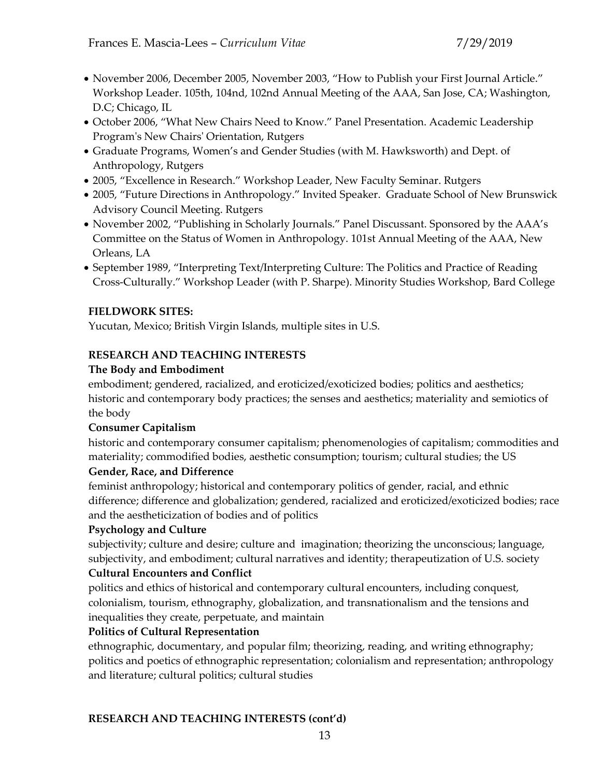- November 2006, December 2005, November 2003, "How to Publish your First Journal Article." Workshop Leader. 105th, 104nd, 102nd Annual Meeting of the AAA, San Jose, CA; Washington, D.C; Chicago, IL
- October 2006, "What New Chairs Need to Know." Panel Presentation. Academic Leadership Program's New Chairs' Orientation, Rutgers
- Graduate Programs, Women's and Gender Studies (with M. Hawksworth) and Dept. of Anthropology, Rutgers
- 2005, "Excellence in Research." Workshop Leader, New Faculty Seminar. Rutgers
- 2005, "Future Directions in Anthropology." Invited Speaker. Graduate School of New Brunswick Advisory Council Meeting. Rutgers
- November 2002, "Publishing in Scholarly Journals." Panel Discussant. Sponsored by the AAA's Committee on the Status of Women in Anthropology. 101st Annual Meeting of the AAA, New Orleans, LA
- September 1989, "Interpreting Text/Interpreting Culture: The Politics and Practice of Reading Cross-Culturally." Workshop Leader (with P. Sharpe). Minority Studies Workshop, Bard College

### **FIELDWORK SITES:**

Yucutan, Mexico; British Virgin Islands, multiple sites in U.S.

## **RESEARCH AND TEACHING INTERESTS**

## **The Body and Embodiment**

embodiment; gendered, racialized, and eroticized/exoticized bodies; politics and aesthetics; historic and contemporary body practices; the senses and aesthetics; materiality and semiotics of the body

## **Consumer Capitalism**

historic and contemporary consumer capitalism; phenomenologies of capitalism; commodities and materiality; commodified bodies, aesthetic consumption; tourism; cultural studies; the US

## **Gender, Race, and Difference**

feminist anthropology; historical and contemporary politics of gender, racial, and ethnic difference; difference and globalization; gendered, racialized and eroticized/exoticized bodies; race and the aestheticization of bodies and of politics

## **Psychology and Culture**

subjectivity; culture and desire; culture and imagination; theorizing the unconscious; language, subjectivity, and embodiment; cultural narratives and identity; therapeutization of U.S. society

## **Cultural Encounters and Conflict**

politics and ethics of historical and contemporary cultural encounters, including conquest, colonialism, tourism, ethnography, globalization, and transnationalism and the tensions and inequalities they create, perpetuate, and maintain

### **Politics of Cultural Representation**

ethnographic, documentary, and popular film; theorizing, reading, and writing ethnography; politics and poetics of ethnographic representation; colonialism and representation; anthropology and literature; cultural politics; cultural studies

### **RESEARCH AND TEACHING INTERESTS (cont'd)**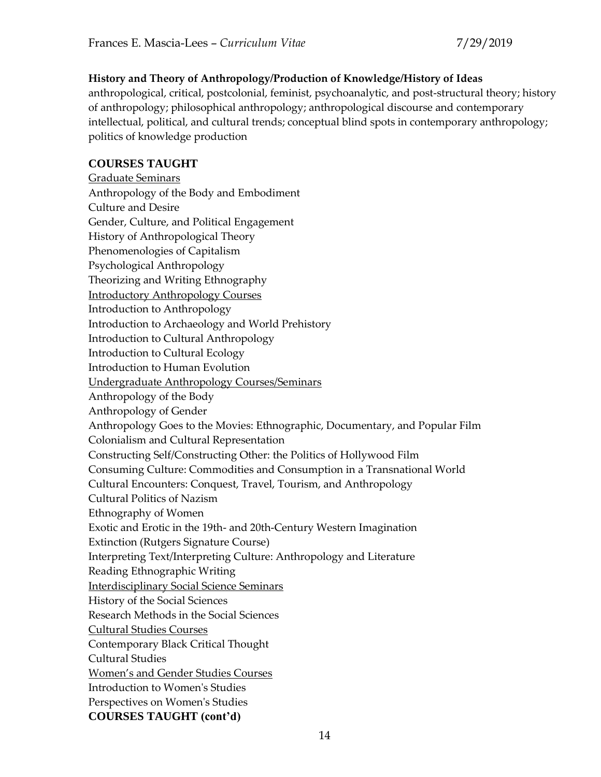## **History and Theory of Anthropology/Production of Knowledge/History of Ideas**

anthropological, critical, postcolonial, feminist, psychoanalytic, and post-structural theory; history of anthropology; philosophical anthropology; anthropological discourse and contemporary intellectual, political, and cultural trends; conceptual blind spots in contemporary anthropology; politics of knowledge production

### **COURSES TAUGHT**

Graduate Seminars Anthropology of the Body and Embodiment Culture and Desire Gender, Culture, and Political Engagement History of Anthropological Theory Phenomenologies of Capitalism Psychological Anthropology Theorizing and Writing Ethnography Introductory Anthropology Courses Introduction to Anthropology Introduction to Archaeology and World Prehistory Introduction to Cultural Anthropology Introduction to Cultural Ecology Introduction to Human Evolution Undergraduate Anthropology Courses/Seminars Anthropology of the Body Anthropology of Gender Anthropology Goes to the Movies: Ethnographic, Documentary, and Popular Film Colonialism and Cultural Representation Constructing Self/Constructing Other: the Politics of Hollywood Film Consuming Culture: Commodities and Consumption in a Transnational World Cultural Encounters: Conquest, Travel, Tourism, and Anthropology Cultural Politics of Nazism Ethnography of Women Exotic and Erotic in the 19th- and 20th-Century Western Imagination Extinction (Rutgers Signature Course) Interpreting Text/Interpreting Culture: Anthropology and Literature Reading Ethnographic Writing Interdisciplinary Social Science Seminars History of the Social Sciences Research Methods in the Social Sciences Cultural Studies Courses Contemporary Black Critical Thought Cultural Studies Women's and Gender Studies Courses Introduction to Women's Studies Perspectives on Women's Studies **COURSES TAUGHT (cont'd)**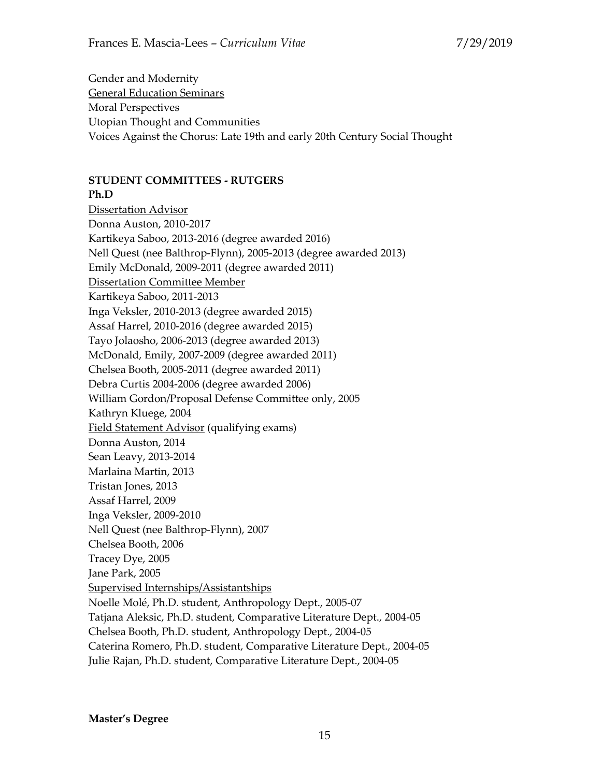Gender and Modernity General Education Seminars Moral Perspectives Utopian Thought and Communities Voices Against the Chorus: Late 19th and early 20th Century Social Thought

### **STUDENT COMMITTEES - RUTGERS**

### **Ph.D**

Dissertation Advisor Donna Auston, 2010-2017 Kartikeya Saboo, 2013-2016 (degree awarded 2016) Nell Quest (nee Balthrop-Flynn), 2005-2013 (degree awarded 2013) Emily McDonald, 2009-2011 (degree awarded 2011) Dissertation Committee Member Kartikeya Saboo, 2011-2013 Inga Veksler, 2010-2013 (degree awarded 2015) Assaf Harrel, 2010-2016 (degree awarded 2015) Tayo Jolaosho, 2006-2013 (degree awarded 2013) McDonald, Emily, 2007-2009 (degree awarded 2011) Chelsea Booth, 2005-2011 (degree awarded 2011) Debra Curtis 2004-2006 (degree awarded 2006) William Gordon/Proposal Defense Committee only, 2005 Kathryn Kluege, 2004 Field Statement Advisor (qualifying exams) Donna Auston, 2014 Sean Leavy, 2013-2014 Marlaina Martin, 2013 Tristan Jones, 2013 Assaf Harrel, 2009 Inga Veksler, 2009-2010 Nell Quest (nee Balthrop-Flynn), 2007 Chelsea Booth, 2006 Tracey Dye, 2005 Jane Park, 2005 Supervised Internships/Assistantships Noelle Molé, Ph.D. student, Anthropology Dept., 2005-07 Tatjana Aleksic, Ph.D. student, Comparative Literature Dept., 2004-05 Chelsea Booth, Ph.D. student, Anthropology Dept., 2004-05 Caterina Romero, Ph.D. student, Comparative Literature Dept., 2004-05 Julie Rajan, Ph.D. student, Comparative Literature Dept., 2004-05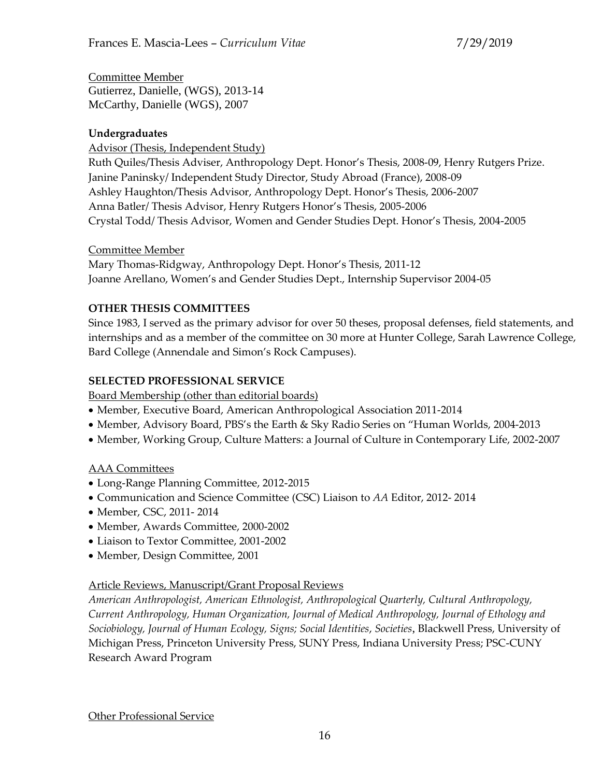Committee Member Gutierrez, Danielle, (WGS), 2013-14 McCarthy, Danielle (WGS), 2007

# **Undergraduates**

Advisor (Thesis, Independent Study) Ruth Quiles/Thesis Adviser, Anthropology Dept. Honor's Thesis, 2008-09, Henry Rutgers Prize. Janine Paninsky/ Independent Study Director, Study Abroad (France), 2008-09 Ashley Haughton/Thesis Advisor, Anthropology Dept. Honor's Thesis, 2006-2007 Anna Batler/ Thesis Advisor, Henry Rutgers Honor's Thesis, 2005-2006 Crystal Todd/ Thesis Advisor, Women and Gender Studies Dept. Honor's Thesis, 2004-2005

## Committee Member

Mary Thomas-Ridgway, Anthropology Dept. Honor's Thesis, 2011-12 Joanne Arellano, Women's and Gender Studies Dept., Internship Supervisor 2004-05

# **OTHER THESIS COMMITTEES**

Since 1983, I served as the primary advisor for over 50 theses, proposal defenses, field statements, and internships and as a member of the committee on 30 more at Hunter College, Sarah Lawrence College, Bard College (Annendale and Simon's Rock Campuses).

# **SELECTED PROFESSIONAL SERVICE**

Board Membership (other than editorial boards)

- Member, Executive Board, American Anthropological Association 2011-2014
- Member, Advisory Board, PBS's the Earth & Sky Radio Series on "Human Worlds, 2004-2013
- Member, Working Group, Culture Matters: a Journal of Culture in Contemporary Life, 2002-2007

# AAA Committees

- Long-Range Planning Committee, 2012-2015
- Communication and Science Committee (CSC) Liaison to *AA* Editor, 2012- 2014
- Member, CSC, 2011- 2014
- Member, Awards Committee, 2000-2002
- Liaison to Textor Committee, 2001-2002
- Member, Design Committee, 2001

## Article Reviews, Manuscript/Grant Proposal Reviews

*American Anthropologist, American Ethnologist, Anthropological Quarterly, Cultural Anthropology, Current Anthropology, Human Organization, Journal of Medical Anthropology, Journal of Ethology and Sociobiology, Journal of Human Ecology, Signs; Social Identities*, *Societies*, Blackwell Press, University of Michigan Press, Princeton University Press, SUNY Press, Indiana University Press; PSC-CUNY Research Award Program

Other Professional Service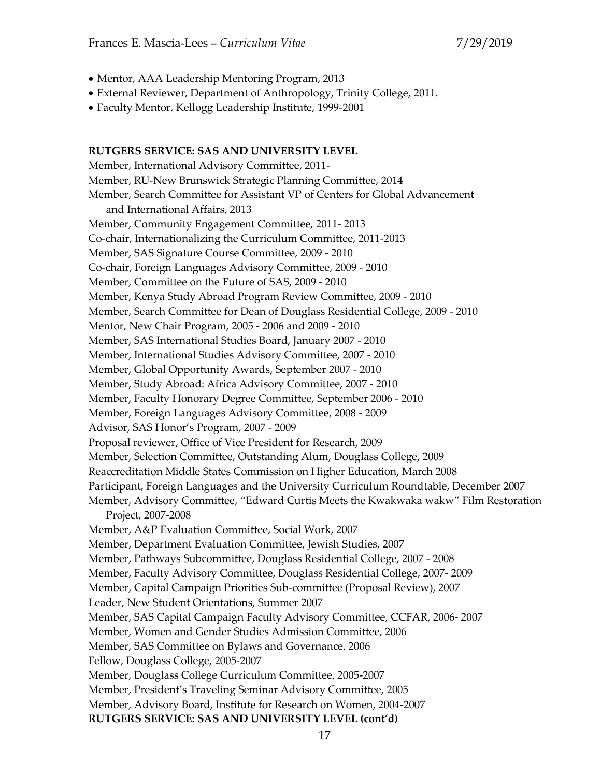- Mentor, AAA Leadership Mentoring Program, 2013
- External Reviewer, Department of Anthropology, Trinity College, 2011.
- Faculty Mentor, Kellogg Leadership Institute, 1999-2001

#### **RUTGERS SERVICE: SAS AND UNIVERSITY LEVEL**

Member, International Advisory Committee, 2011- Member, RU-New Brunswick Strategic Planning Committee, 2014 Member, Search Committee for Assistant VP of Centers for Global Advancement and International Affairs, 2013 Member, Community Engagement Committee, 2011- 2013 Co-chair, Internationalizing the Curriculum Committee, 2011-2013 Member, SAS Signature Course Committee, 2009 - 2010 Co-chair, Foreign Languages Advisory Committee, 2009 - 2010 Member, Committee on the Future of SAS, 2009 - 2010 Member, Kenya Study Abroad Program Review Committee, 2009 - 2010 Member, Search Committee for Dean of Douglass Residential College, 2009 - 2010 Mentor, New Chair Program, 2005 - 2006 and 2009 - 2010 Member, SAS International Studies Board, January 2007 - 2010 Member, International Studies Advisory Committee, 2007 - 2010 Member, Global Opportunity Awards, September 2007 - 2010 Member, Study Abroad: Africa Advisory Committee, 2007 - 2010 Member, Faculty Honorary Degree Committee, September 2006 - 2010 Member, Foreign Languages Advisory Committee, 2008 - 2009 Advisor, SAS Honor's Program, 2007 - 2009 Proposal reviewer, Office of Vice President for Research, 2009 Member, Selection Committee, Outstanding Alum, Douglass College, 2009 Reaccreditation Middle States Commission on Higher Education, March 2008 Participant, Foreign Languages and the University Curriculum Roundtable, December 2007 Member, Advisory Committee, "Edward Curtis Meets the Kwakwaka wakw" Film Restoration Project, 2007-2008 Member, A&P Evaluation Committee, Social Work, 2007 Member, Department Evaluation Committee, Jewish Studies, 2007 Member, Pathways Subcommittee, Douglass Residential College, 2007 - 2008 Member, Faculty Advisory Committee, Douglass Residential College, 2007- 2009 Member, Capital Campaign Priorities Sub-committee (Proposal Review), 2007 Leader, New Student Orientations, Summer 2007 Member, SAS Capital Campaign Faculty Advisory Committee, CCFAR, 2006- 2007 Member, Women and Gender Studies Admission Committee, 2006 Member, SAS Committee on Bylaws and Governance, 2006 Fellow, Douglass College, 2005-2007 Member, Douglass College Curriculum Committee, 2005-2007 Member, President's Traveling Seminar Advisory Committee, 2005 Member, Advisory Board, Institute for Research on Women, 2004-2007 **RUTGERS SERVICE: SAS AND UNIVERSITY LEVEL (cont'd)**